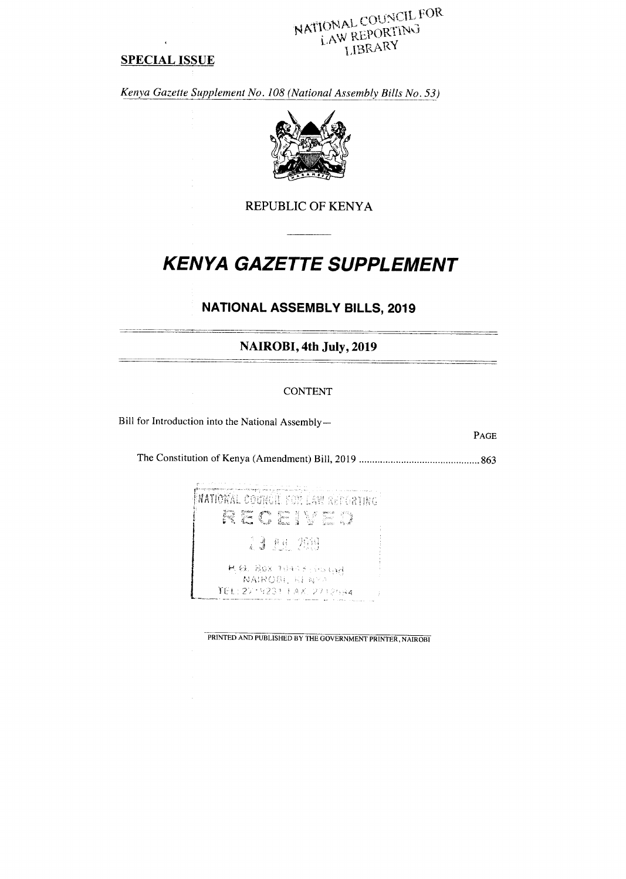NATIONAL COUNCIL FOR LAW REPORTING LIBRARY

# **SPECIAL ISSUE**

Kenya Gazette Supplement No. 108 (National Assembly Bills No. 53)



**REPUBLIC OF KENYA** 

# **KENYA GAZETTE SUPPLEMENT**

# **NATIONAL ASSEMBLY BILLS, 2019**

NAIROBI, 4th July, 2019

# **CONTENT**

Bill for Introduction into the National Assembly-

PAGE



PRINTED AND PUBLISHED BY THE GOVERNMENT PRINTER, NAIROBI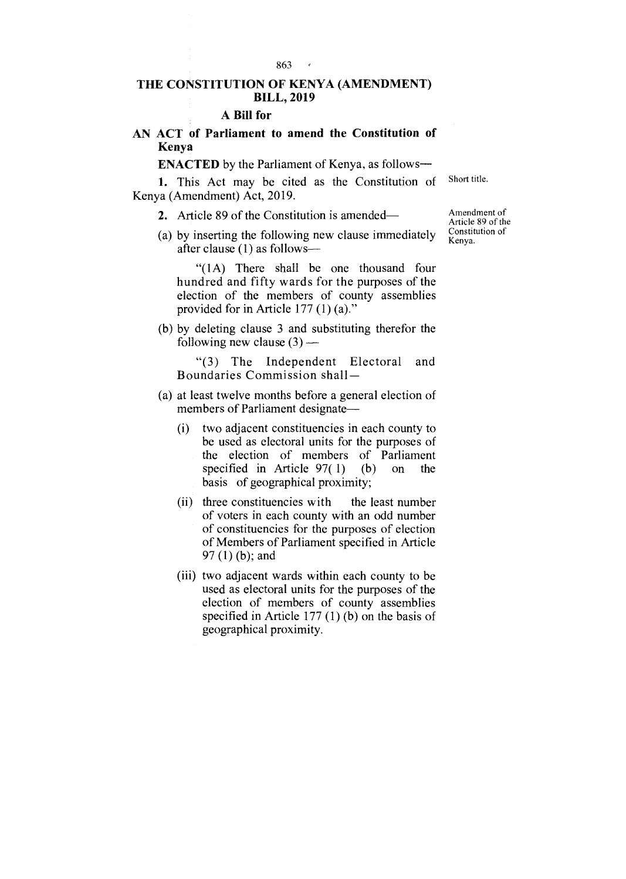#### 863

# **THE CONSTITUTION OF KENYA (AMENDMENT) BILL, 2019**

## **A Bill for**

# **AN ACT of Parliament to amend the Constitution of Kenya**

**ENACTED** by the Parliament of Kenya, as follows-

1. This Act may be cited as the Constitution of Kenya (Amendment) Act, 2019.

2. Article 89 of the Constitution is amended—

(a) by inserting the following new clause immediately after clause (1) as follows—

"(1A) There shall be one thousand four hundred and fifty wards for the purposes of the election of the members of county assemblies provided for in Article 177 (1) (a)."

(b) by deleting clause 3 and substituting therefor the following new clause  $(3)$  —

"(3) The Independent Electoral and Boundaries Commission shall —

- (a) at least twelve months before a general election of members of Parliament designate—
	- (i) two adjacent constituencies in each county to be used as electoral units for the purposes of the election of members of Parliament specified in Article  $97(1)$  (b) on the specified in Article  $97(1)$ basis of geographical proximity;
	- (ii) three constituencies with the least number of voters in each county with an odd number of constituencies for the purposes of election of Members of Parliament specified in Article 97 (1) (b); and
	- (iii) two adjacent wards within each county to be used as electoral units for the purposes of the election of members of county assemblies specified in Article 177 (1) (b) on the basis of geographical proximity.

Amendment of Article 89 of the Constitution of Kenya.

Short title.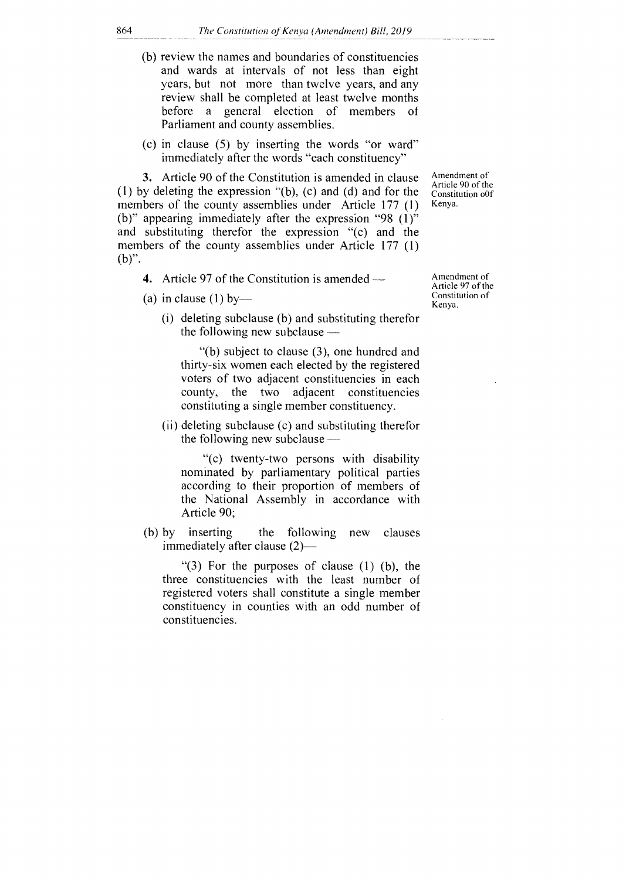- (b) review the names and boundaries of constituencies and wards at intervals of not less than eight years, but not more than twelve years, and any review shall be completed at least twelve months before a general election of members of Parliament and county assemblies.
- (c) in clause (5) by inserting the words "or ward" immediately after the words "each constituency"

3. Article 90 of the Constitution is amended in clause (1) by deleting the expression "(b), (c) and (d) and for the members of the county assemblies under Article 177 (1) (b)" appearing immediately after the expression "98 (1)" and substituting therefor the expression "(c) and the members of the county assemblies under Article 177 (1) (b)".

- 4. Article 97 of the Constitution is amended—
- (a) in clause  $(1)$  by-
	- (i) deleting subclause (b) and substituting therefor the following new subclause  $-$

"(b) subject to clause (3), one hundred and thirty-six women each elected by the registered voters of two adjacent constituencies in each county, the two adjacent constituencies constituting a single member constituency.

(ii) deleting subclause (c) and substituting therefor the following new subclause —

"(c) twenty-two persons with disability nominated by parliamentary political parties according to their proportion of members of the National Assembly in accordance with Article 90;

(b) by inserting the following new clauses immediately after clause (2)

" $(3)$  For the purposes of clause  $(1)$   $(b)$ , the three constituencies with the least number of registered voters shall constitute a single member constituency in counties with an odd number of constituencies.

Amendment of Article 97 of the Constitution of Kenya.

Amendment of Article 90 of the Constitution o0f Kenya.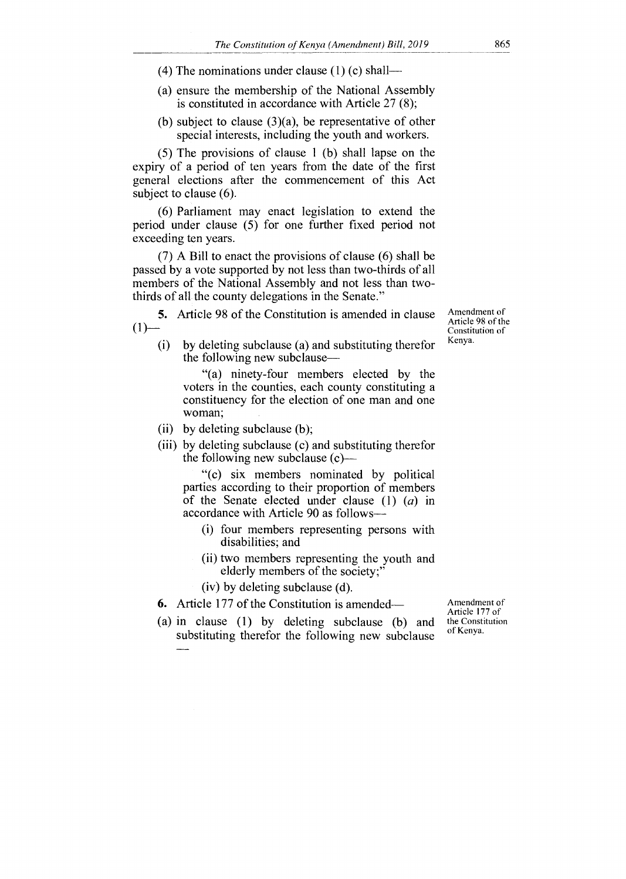(4) The nominations under clause  $(1)$  (c) shall—

- (a) ensure the membership of the National Assembly is constituted in accordance with Article 27 (8);
- (b) subject to clause (3)(a), be representative of other special interests, including the youth and workers.

(5) The provisions of clause 1 (b) shall lapse on the expiry of a period of ten years from the date of the first general elections after the commencement of this Act subject to clause (6).

(6) Parliament may enact legislation to extend the period under clause (5) for one further fixed period not exceeding ten years.

(7) A Bill to enact the provisions of clause (6) shall be passed by a vote supported by not less than two-thirds of all members of the National Assembly and not less than twothirds of all the county delegations in the Senate."

**5.** Article 98 of the Constitution is amended in clause  $(1)$ —

Amendment of Article 98 of the Constitution of Kenya.

(i) by deleting subclause (a) and substituting therefor the following new subclause—

"(a) ninety-four members elected by the voters in the counties, each county constituting a constituency for the election of one man and one woman;

- (ii) by deleting subclause (b);
- (iii) by deleting subclause (c) and substituting therefor the following new subclause (c)—

"(c) six members nominated by political parties according to their proportion of members of the Senate elected under clause (1) *(a)* in accordance with Article 90 as follows—

- (i) four members representing persons with disabilities; and
- (ii) two members representing the youth and elderly members of the society;"

(iv) by deleting subclause (d).

- **6.** Article 177 of the Constitution is amended—
- (a) in clause (1) by deleting subclause (b) and substituting therefor the following new subclause

Amendment of Article 177 of the Constitution of Kenya.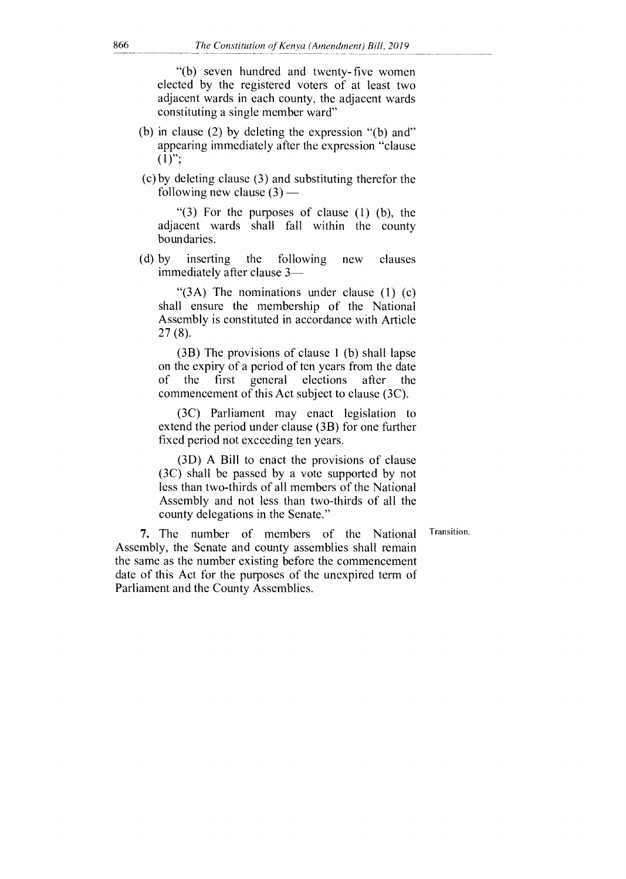"(b) seven hundred and twenty- five women elected by the registered voters of at least two adjacent wards in each county, the adjacent wards constituting a single member ward"

- (b) in clause (2) by deleting the expression "(b) and" appearing immediately after the expression "clause  $(1)$ ";
- (c) by deleting clause (3) and substituting therefor the following new clause  $(3)$  —

" $(3)$  For the purposes of clause  $(1)$   $(b)$ , the adjacent wards shall fall within the county boundaries.

(d) by inserting the following new clauses immediately after clause 3—

"(3A) The nominations under clause (1) (c) shall ensure the membership of the National Assembly is constituted in accordance with Article 27 (8).

(3B) The provisions of clause 1 (b) shall lapse on the expiry of a period of ten years from the date<br>of the first general elections after the of the first general elections after the commencement of this Act subject to clause (3C).

(3C) Parliament may enact legislation to extend the period under clause (3B) for one further fixed period not exceeding ten years.

(3D) A Bill to enact the provisions of clause (3C) shall be passed by a vote supported by not less than two-thirds of all members of the National Assembly and not less than two-thirds of all the county delegations in the Senate."

Transition.

7. The number of members of the National Assembly, the Senate and county assemblies shall remain the same as the number existing before the commencement date of this Act for the purposes of the unexpired term of Parliament and the County Assemblies.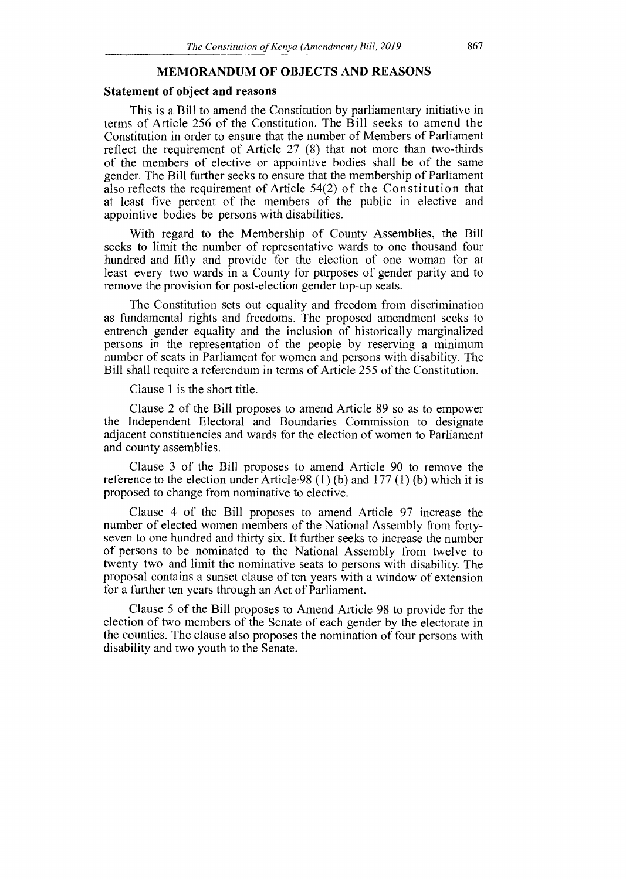## **MEMORANDUM OF OBJECTS AND REASONS**

#### **Statement of object and reasons**

This is a Bill to amend the Constitution by parliamentary initiative in terms of Article 256 of the Constitution. The Bill seeks to amend the Constitution in order to ensure that the number of Members of Parliament reflect the requirement of Article 27 (8) that not more than two-thirds of the members of elective or appointive bodies shall be of the same gender. The Bill further seeks to ensure that the membership of Parliament also reflects the requirement of Article 54(2) of the Constitution that at least five percent of the members of the public in elective and appointive bodies be persons with disabilities.

With regard to the Membership of County Assemblies, the Bill seeks to limit the number of representative wards to one thousand four hundred and fifty and provide for the election of one woman for at least every two wards in a County for purposes of gender parity and to remove the provision for post-election gender top-up seats.

The Constitution sets out equality and freedom from discrimination as fundamental rights and freedoms. The proposed amendment seeks to entrench gender equality and the inclusion of historically marginalized persons in the representation of the people by reserving a minimum number of seats in Parliament for women and persons with disability. The Bill shall require a referendum in terms of Article 255 of the Constitution.

Clause 1 is the short title.

Clause 2 of the **Bill** proposes to amend Article 89 so as to empower the Independent Electoral and Boundaries Commission to designate adjacent constituencies and wards for the election of women to Parliament and county assemblies.

Clause 3 of the Bill proposes to amend Article 90 to remove the reference to the election under Article 98 (1) (b) and 177 (1) (b) which it is proposed to change from nominative to elective.

Clause 4 of the Bill proposes to amend Article 97 increase the number of elected women members of the National Assembly from fortyseven to one hundred and thirty six. It further seeks to increase the number of persons to be nominated to the National Assembly from twelve to twenty two and limit the nominative seats to persons with disability. The proposal contains a sunset clause of ten years with a window of extension for a further ten years through an Act of Parliament.

Clause 5 of the Bill proposes to Amend Article 98 to provide for the election of two members of the Senate of each gender by the electorate in the counties. The clause also proposes the nomination of four persons with disability and two youth to the Senate.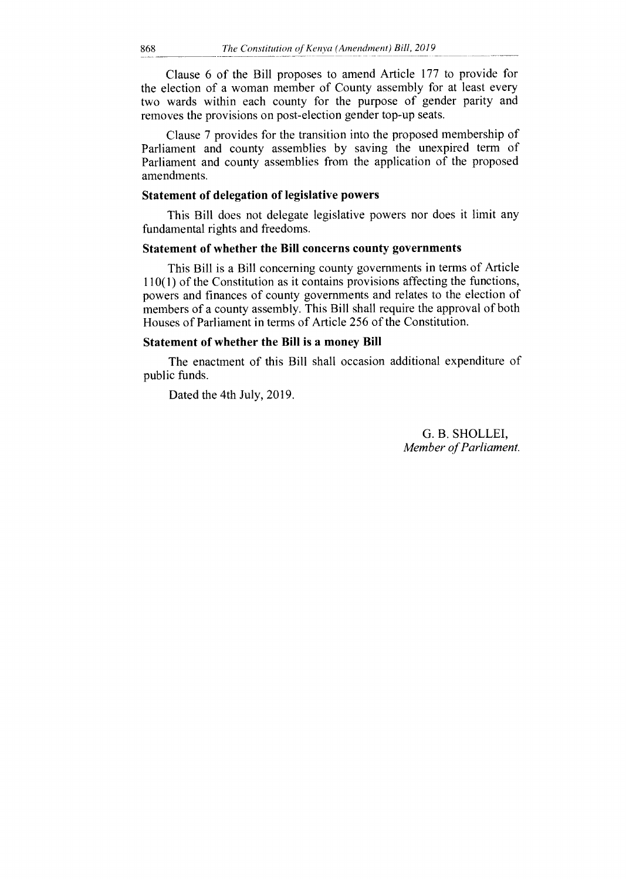Clause 6 of the Bill proposes to amend Article 177 to provide for the election of a woman member of County assembly for at least every two wards within each county for the purpose of gender parity and removes the provisions on post-election gender top-up seats.

Clause 7 provides for the transition into the proposed membership of Parliament and county assemblies by saving the unexpired term of Parliament and county assemblies from the application of the proposed amendments.

# **Statement of delegation of legislative powers**

This Bill does not delegate legislative powers nor does it limit any fundamental rights and freedoms.

# **Statement of whether the Bill concerns county governments**

This Bill is a Bill concerning county governments in terms of Article 110(1) of the Constitution as it contains provisions affecting the functions, powers and finances of county governments and relates to the election of members of a county assembly. This Bill shall require the approval of both Houses of Parliament in terms of Article 256 of the Constitution.

## **Statement of whether the Bill is a money Bill**

The enactment of this Bill shall occasion additional expenditure of public funds.

Dated the 4th July, 2019.

G. B. SHOLLEI, *Member of Parliament.*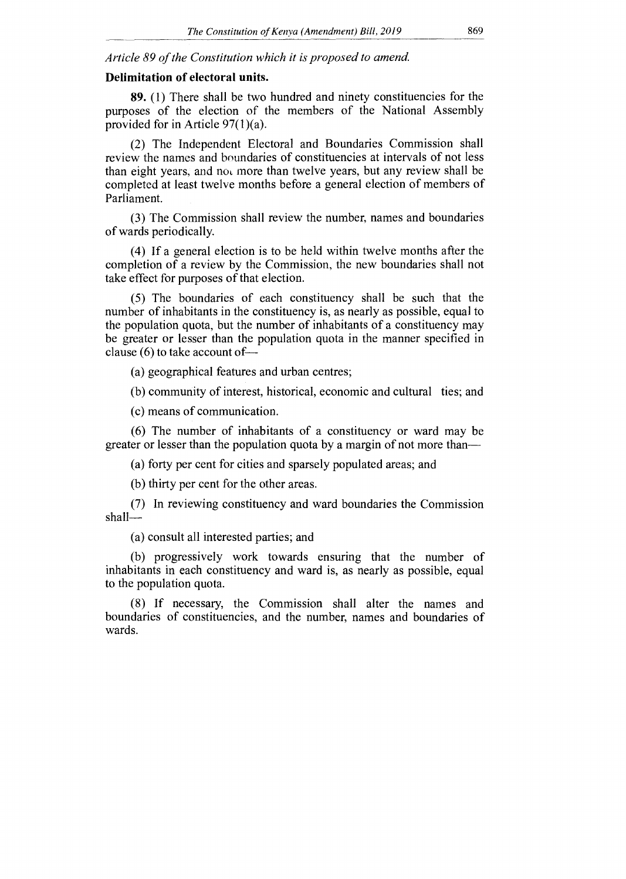*Article 89 of the Constitution which it is proposed to amend.* 

## **Delimitation of electoral units.**

**89.** (1) There shall be two hundred and ninety constituencies for the purposes of the election of the members of the National Assembly provided for in Article 97(1)(a).

(2) The Independent Electoral and Boundaries Commission shall review the names and boundaries of constituencies at intervals of not less than eight years, and not more than twelve years, but any review shall be completed at least twelve months before a general election of members of Parliament.

(3) The Commission shall review the number, names and boundaries of wards periodically.

(4) If a general election is to be held within twelve months after the completion of a review by the Commission, the new boundaries shall not take effect for purposes of that election.

(5) The boundaries of each constituency shall be such that the number of inhabitants in the constituency is, as nearly as possible, equal to the population quota, but the number of inhabitants of a constituency may be greater or lesser than the population quota in the manner specified in clause (6) to take account of—

(a) geographical features and urban centres;

(b) community of interest, historical, economic and cultural ties; and

(c) means of communication.

(6) The number of inhabitants of a constituency or ward may be greater or lesser than the population quota by a margin of not more than—

(a) forty per cent for cities and sparsely populated areas; and

(b) thirty per cent for the other areas.

(7) In reviewing constituency and ward boundaries the Commission shall—

(a) consult all interested parties; and

(b) progressively work towards ensuring that the number of inhabitants in each constituency and ward is, as nearly as possible, equal to the population quota.

(8) If necessary, the Commission shall alter the names and boundaries of constituencies, and the number, names and boundaries of wards.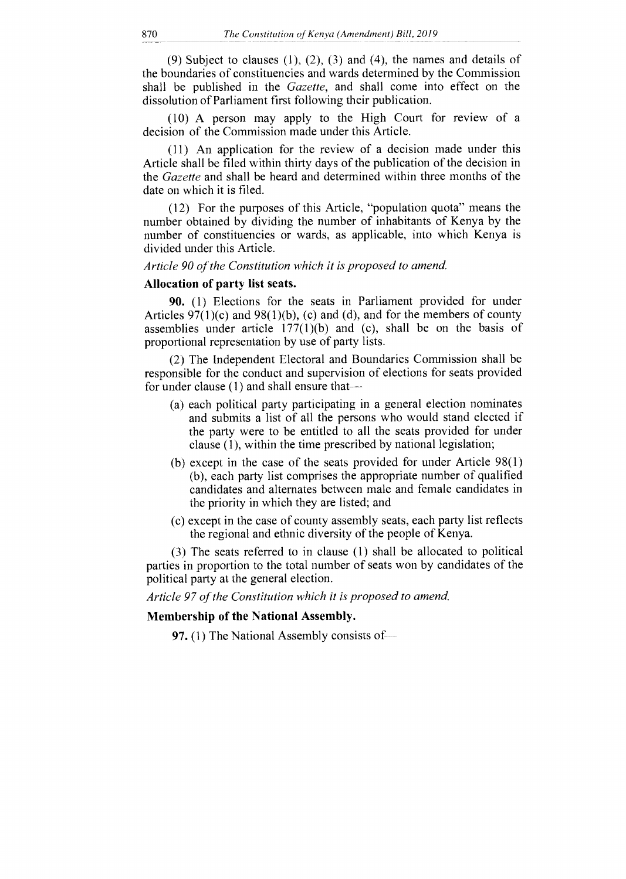(9) Subject to clauses  $(1)$ ,  $(2)$ ,  $(3)$  and  $(4)$ , the names and details of the boundaries of constituencies and wards determined by the Commission shall be published in the *Gazette,* and shall come into effect on the dissolution of Parliament first following their publication.

(10) A person may apply to the High Court for review of a decision of the Commission made under this Article.

(11) An application for the review of a decision made under this Article shall be filed within thirty days of the publication of the decision in the *Gazette* and shall be heard and determined within three months of the date on which it is filed.

(12) For the purposes of this Article, "population quota" means the number obtained by dividing the number of inhabitants of Kenya by the number of constituencies or wards, as applicable, into which Kenya is divided under this Article.

*Article 90 of the Constitution which it is proposed to amend.* 

## **Allocation of party list seats.**

**90.** (1) Elections for the seats in Parliament provided for under Articles  $97(1)(c)$  and  $98(1)(b)$ , (c) and (d), and for the members of county assemblies under article  $177(1)(b)$  and (c), shall be on the basis of proportional representation by use of party lists.

(2) The Independent Electoral and Boundaries Commission shall be responsible for the conduct and supervision of elections for seats provided for under clause (1) and shall ensure that—

- (a) each political party participating in a general election nominates and submits a list of all the persons who would stand elected if the party were to be entitled to all the seats provided for under clause (1), within the time prescribed by national legislation;
- (b) except in the case of the seats provided for under Article 98(1) (b), each party list comprises the appropriate number of qualified candidates and alternates between male and female candidates in the priority in which they are listed; and
- (c) except in the case of county assembly seats, each party list reflects the regional and ethnic diversity of the people of Kenya.

(3) The seats referred to in clause (1) shall be allocated to political parties in proportion to the total number of seats won by candidates of the political party at the general election.

*Article 97 of the Constitution which it is proposed to amend.* 

## **Membership of the National Assembly.**

**97. (1)** The National Assembly consists of—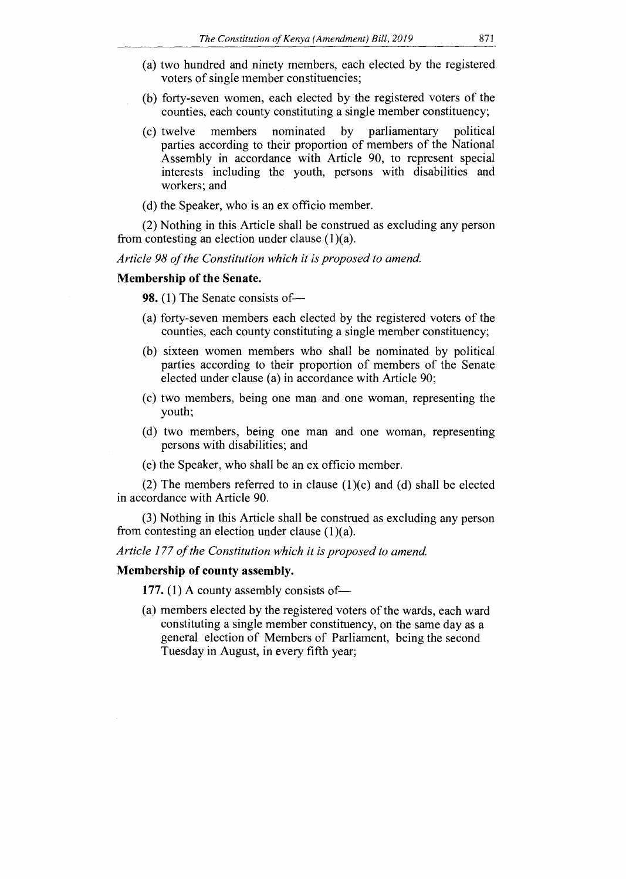- (a) two hundred and ninety members, each elected by the registered voters of single member constituencies;
- (b) forty-seven women, each elected by the registered voters of the counties, each county constituting a single member constituency;
- (c) twelve members nominated by parliamentary political parties according to their proportion of members of the National Assembly in accordance with Article 90, to represent special interests including the youth, persons with disabilities and workers; and
- (d) the Speaker, who is an ex officio member.

(2) Nothing in this Article shall be construed as excluding any person from contesting an election under clause  $(1)(a)$ .

*Article 98 of the Constitution which it is proposed to amend.* 

#### **Membership of the Senate.**

**98.** (1) The Senate consists of—

- (a) forty-seven members each elected by the registered voters of the counties, each county constituting a single member constituency;
- (b) sixteen women members who shall be nominated by political parties according to their proportion of members of the Senate elected under clause (a) in accordance with Article 90;
- (c) two members, being one man and one woman, representing the youth;
- (d) two members, being one man and one woman, representing persons with disabilities; and
- (e) the Speaker, who shall be an ex officio member.

(2) The members referred to in clause  $(1)(c)$  and  $(d)$  shall be elected in accordance with Article 90.

(3) Nothing in this Article shall be construed as excluding any person from contesting an election under clause  $(1)(a)$ .

*Article 177 of the Constitution which it is proposed to amend.* 

## **Membership of county assembly.**

**177.** (1) A county assembly consists of—

(a) members elected by the registered voters of the wards, each ward constituting a single member constituency, on the same day as a general election of Members of Parliament, being the second Tuesday in August, in every fifth year;